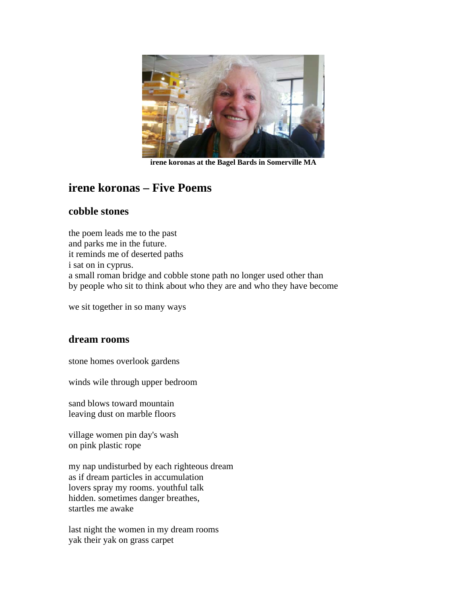

**irene koronas at the Bagel Bards in Somerville MA** 

# **irene koronas – Five Poems**

#### **cobble stones**

the poem leads me to the past and parks me in the future. it reminds me of deserted paths i sat on in cyprus. a small roman bridge and cobble stone path no longer used other than by people who sit to think about who they are and who they have become

we sit together in so many ways

## **dream rooms**

stone homes overlook gardens

winds wile through upper bedroom

sand blows toward mountain leaving dust on marble floors

village women pin day's wash on pink plastic rope

my nap undisturbed by each righteous dream as if dream particles in accumulation lovers spray my rooms. youthful talk hidden. sometimes danger breathes, startles me awake

last night the women in my dream rooms yak their yak on grass carpet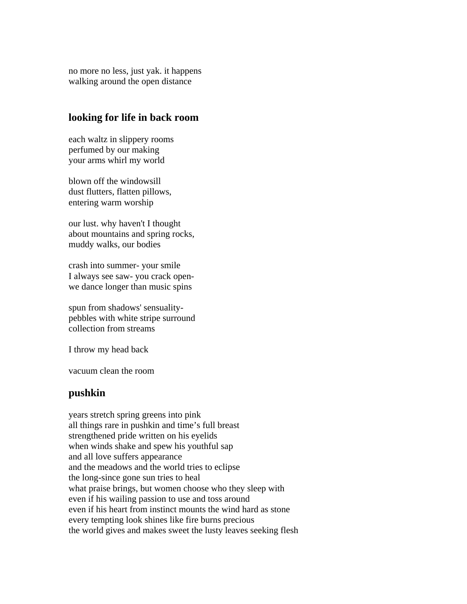no more no less, just yak. it happens walking around the open distance

#### **looking for life in back room**

each waltz in slippery rooms perfumed by our making your arms whirl my world

blown off the windowsill dust flutters, flatten pillows, entering warm worship

our lust. why haven't I thought about mountains and spring rocks, muddy walks, our bodies

crash into summer- your smile I always see saw- you crack openwe dance longer than music spins

spun from shadows' sensualitypebbles with white stripe surround collection from streams

I throw my head back

vacuum clean the room

## **pushkin**

years stretch spring greens into pink all things rare in pushkin and time's full breast strengthened pride written on his eyelids when winds shake and spew his youthful sap and all love suffers appearance and the meadows and the world tries to eclipse the long-since gone sun tries to heal what praise brings, but women choose who they sleep with even if his wailing passion to use and toss around even if his heart from instinct mounts the wind hard as stone every tempting look shines like fire burns precious the world gives and makes sweet the lusty leaves seeking flesh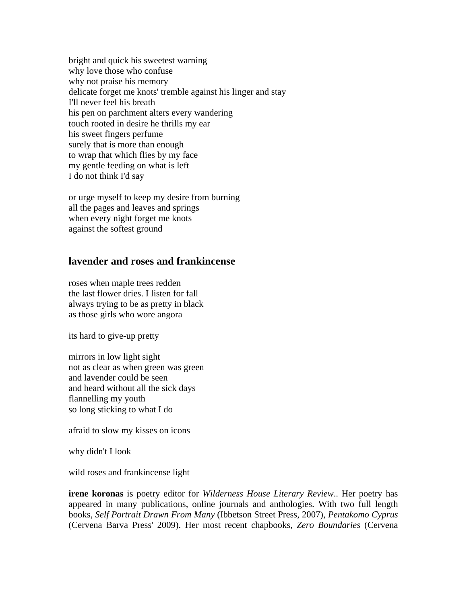bright and quick his sweetest warning why love those who confuse why not praise his memory delicate forget me knots' tremble against his linger and stay I'll never feel his breath his pen on parchment alters every wandering touch rooted in desire he thrills my ear his sweet fingers perfume surely that is more than enough to wrap that which flies by my face my gentle feeding on what is left I do not think I'd say

or urge myself to keep my desire from burning all the pages and leaves and springs when every night forget me knots against the softest ground

# **lavender and roses and frankincense**

roses when maple trees redden the last flower dries. I listen for fall always trying to be as pretty in black as those girls who wore angora

its hard to give-up pretty

mirrors in low light sight not as clear as when green was green and lavender could be seen and heard without all the sick days flannelling my youth so long sticking to what I do

afraid to slow my kisses on icons

why didn't I look

wild roses and frankincense light

**irene koronas** is poetry editor for *Wilderness House Literary Review*.. Her poetry has appeared in many publications, online journals and anthologies. With two full length books, *Self Portrait Drawn From Many* (Ibbetson Street Press, 2007), *Pentakomo Cyprus* (Cervena Barva Press' 2009). Her most recent chapbooks, *Zero Boundaries* (Cervena